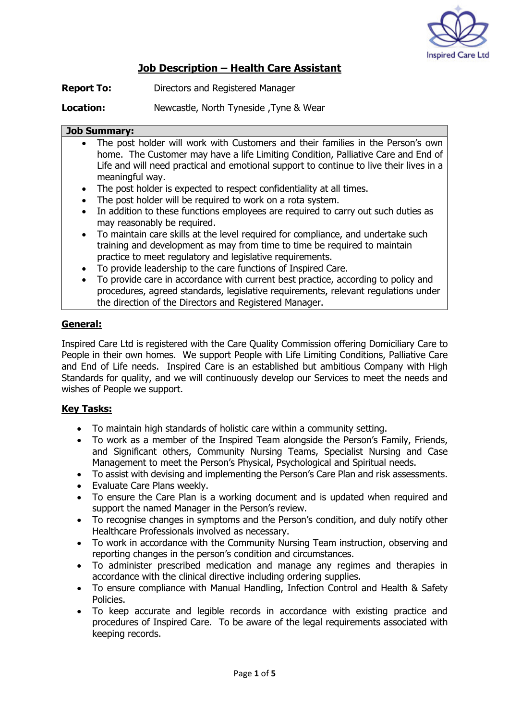

## **Job Description – Health Care Assistant**

**Report To:** Directors and Registered Manager

**Location:** Newcastle, North Tyneside ,Tyne & Wear

#### **Job Summary:**

- The post holder will work with Customers and their families in the Person's own home. The Customer may have a life Limiting Condition, Palliative Care and End of Life and will need practical and emotional support to continue to live their lives in a meaningful way.
- The post holder is expected to respect confidentiality at all times.
- The post holder will be required to work on a rota system.
- In addition to these functions employees are required to carry out such duties as may reasonably be required.
- To maintain care skills at the level required for compliance, and undertake such training and development as may from time to time be required to maintain practice to meet regulatory and legislative requirements.
- To provide leadership to the care functions of Inspired Care.
- To provide care in accordance with current best practice, according to policy and procedures, agreed standards, legislative requirements, relevant regulations under the direction of the Directors and Registered Manager.

#### **General:**

Inspired Care Ltd is registered with the Care Quality Commission offering Domiciliary Care to People in their own homes. We support People with Life Limiting Conditions, Palliative Care and End of Life needs. Inspired Care is an established but ambitious Company with High Standards for quality, and we will continuously develop our Services to meet the needs and wishes of People we support.

#### **Key Tasks:**

- To maintain high standards of holistic care within a community setting.
- To work as a member of the Inspired Team alongside the Person's Family, Friends, and Significant others, Community Nursing Teams, Specialist Nursing and Case Management to meet the Person's Physical, Psychological and Spiritual needs.
- To assist with devising and implementing the Person's Care Plan and risk assessments.
- Evaluate Care Plans weekly.
- To ensure the Care Plan is a working document and is updated when required and support the named Manager in the Person's review.
- To recognise changes in symptoms and the Person's condition, and duly notify other Healthcare Professionals involved as necessary.
- To work in accordance with the Community Nursing Team instruction, observing and reporting changes in the person's condition and circumstances.
- To administer prescribed medication and manage any regimes and therapies in accordance with the clinical directive including ordering supplies.
- To ensure compliance with Manual Handling, Infection Control and Health & Safety Policies.
- To keep accurate and legible records in accordance with existing practice and procedures of Inspired Care. To be aware of the legal requirements associated with keeping records.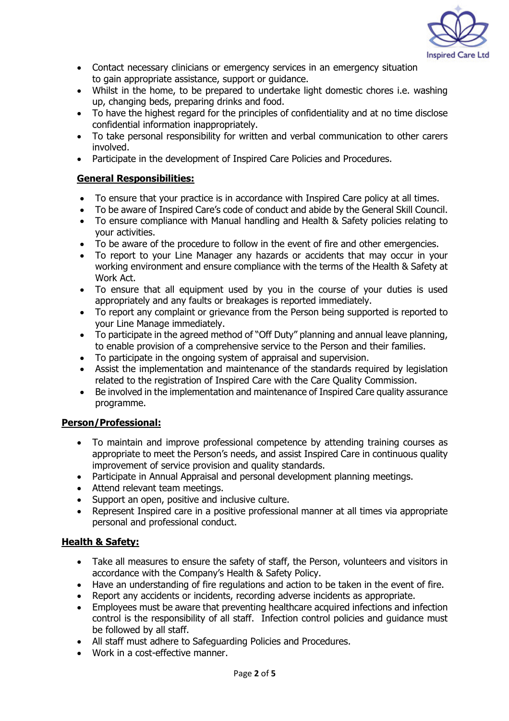

- Contact necessary clinicians or emergency services in an emergency situation to gain appropriate assistance, support or guidance.
- Whilst in the home, to be prepared to undertake light domestic chores i.e. washing up, changing beds, preparing drinks and food.
- To have the highest regard for the principles of confidentiality and at no time disclose confidential information inappropriately.
- To take personal responsibility for written and verbal communication to other carers involved.
- Participate in the development of Inspired Care Policies and Procedures.

#### **General Responsibilities:**

- To ensure that your practice is in accordance with Inspired Care policy at all times.
- To be aware of Inspired Care's code of conduct and abide by the General Skill Council.
- To ensure compliance with Manual handling and Health & Safety policies relating to your activities.
- To be aware of the procedure to follow in the event of fire and other emergencies.
- To report to your Line Manager any hazards or accidents that may occur in your working environment and ensure compliance with the terms of the Health & Safety at Work Act.
- To ensure that all equipment used by you in the course of your duties is used appropriately and any faults or breakages is reported immediately.
- To report any complaint or grievance from the Person being supported is reported to your Line Manage immediately.
- To participate in the agreed method of "Off Duty" planning and annual leave planning, to enable provision of a comprehensive service to the Person and their families.
- To participate in the ongoing system of appraisal and supervision.
- Assist the implementation and maintenance of the standards required by legislation related to the registration of Inspired Care with the Care Quality Commission.
- Be involved in the implementation and maintenance of Inspired Care quality assurance programme.

## **Person/Professional:**

- To maintain and improve professional competence by attending training courses as appropriate to meet the Person's needs, and assist Inspired Care in continuous quality improvement of service provision and quality standards.
- Participate in Annual Appraisal and personal development planning meetings.
- Attend relevant team meetings.
- Support an open, positive and inclusive culture.
- Represent Inspired care in a positive professional manner at all times via appropriate personal and professional conduct.

## **Health & Safety:**

- Take all measures to ensure the safety of staff, the Person, volunteers and visitors in accordance with the Company's Health & Safety Policy.
- Have an understanding of fire regulations and action to be taken in the event of fire.
- Report any accidents or incidents, recording adverse incidents as appropriate.
- Employees must be aware that preventing healthcare acquired infections and infection control is the responsibility of all staff. Infection control policies and guidance must be followed by all staff.
- All staff must adhere to Safeguarding Policies and Procedures.
- Work in a cost-effective manner.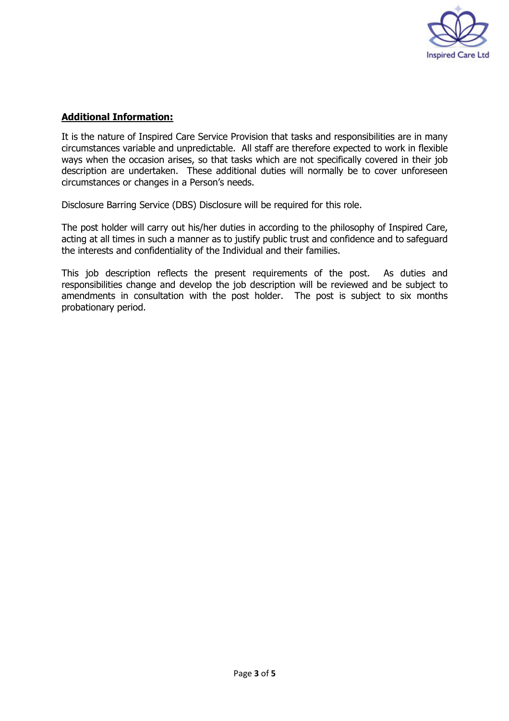

### **Additional Information:**

It is the nature of Inspired Care Service Provision that tasks and responsibilities are in many circumstances variable and unpredictable. All staff are therefore expected to work in flexible ways when the occasion arises, so that tasks which are not specifically covered in their job description are undertaken. These additional duties will normally be to cover unforeseen circumstances or changes in a Person's needs.

Disclosure Barring Service (DBS) Disclosure will be required for this role.

The post holder will carry out his/her duties in according to the philosophy of Inspired Care, acting at all times in such a manner as to justify public trust and confidence and to safeguard the interests and confidentiality of the Individual and their families.

This job description reflects the present requirements of the post. As duties and responsibilities change and develop the job description will be reviewed and be subject to amendments in consultation with the post holder. The post is subject to six months probationary period.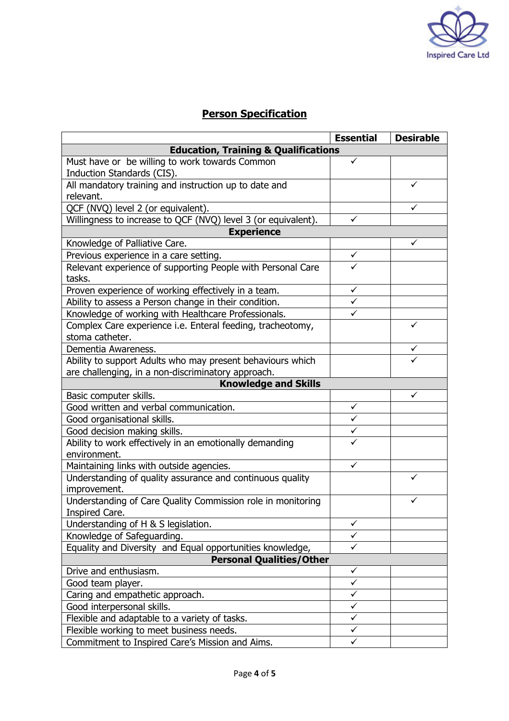

# **Person Specification**

|                                                                               | <b>Essential</b> | <b>Desirable</b> |  |
|-------------------------------------------------------------------------------|------------------|------------------|--|
| <b>Education, Training &amp; Qualifications</b>                               |                  |                  |  |
| Must have or be willing to work towards Common<br>Induction Standards (CIS).  | ✓                |                  |  |
| All mandatory training and instruction up to date and                         |                  | ✓                |  |
| relevant.                                                                     |                  |                  |  |
| QCF (NVQ) level 2 (or equivalent).                                            |                  | ✓                |  |
| Willingness to increase to QCF (NVQ) level 3 (or equivalent).                 | ✓                |                  |  |
| <b>Experience</b>                                                             |                  |                  |  |
| Knowledge of Palliative Care.                                                 |                  | ✓                |  |
| Previous experience in a care setting.                                        | ✓                |                  |  |
| Relevant experience of supporting People with Personal Care<br>tasks.         |                  |                  |  |
| Proven experience of working effectively in a team.                           | ✓                |                  |  |
| Ability to assess a Person change in their condition.                         | $\checkmark$     |                  |  |
| Knowledge of working with Healthcare Professionals.                           | ✓                |                  |  |
| Complex Care experience i.e. Enteral feeding, tracheotomy,<br>stoma catheter. |                  | ✓                |  |
| Dementia Awareness.                                                           |                  | ✓                |  |
| Ability to support Adults who may present behaviours which                    |                  |                  |  |
| are challenging, in a non-discriminatory approach.                            |                  |                  |  |
| <b>Knowledge and Skills</b>                                                   |                  |                  |  |
| Basic computer skills.                                                        |                  | ✓                |  |
| Good written and verbal communication.                                        | $\checkmark$     |                  |  |
| Good organisational skills.                                                   | $\checkmark$     |                  |  |
| Good decision making skills.                                                  | ✓                |                  |  |
| Ability to work effectively in an emotionally demanding                       |                  |                  |  |
| environment.                                                                  |                  |                  |  |
| Maintaining links with outside agencies.                                      | ✓                |                  |  |
| Understanding of quality assurance and continuous quality                     |                  |                  |  |
| improvement.                                                                  |                  |                  |  |
| Understanding of Care Quality Commission role in monitoring<br>Inspired Care. |                  | ✓                |  |
| Understanding of H & S legislation.                                           | $\checkmark$     |                  |  |
| Knowledge of Safeguarding.                                                    | $\checkmark$     |                  |  |
| Equality and Diversity and Equal opportunities knowledge,                     | $\checkmark$     |                  |  |
| <b>Personal Qualities/Other</b>                                               |                  |                  |  |
| Drive and enthusiasm.                                                         | ✓                |                  |  |
| Good team player.                                                             | $\checkmark$     |                  |  |
| Caring and empathetic approach.                                               | $\checkmark$     |                  |  |
| Good interpersonal skills.                                                    | $\checkmark$     |                  |  |
| Flexible and adaptable to a variety of tasks.                                 | $\checkmark$     |                  |  |
| Flexible working to meet business needs.                                      | $\checkmark$     |                  |  |
| Commitment to Inspired Care's Mission and Aims.                               | ✓                |                  |  |